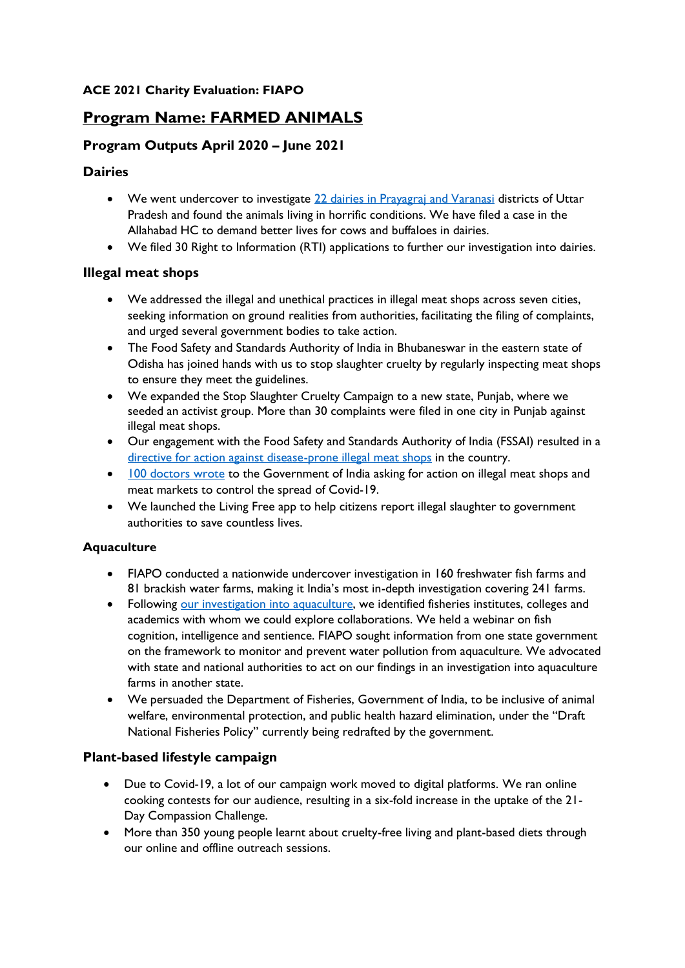# **Program Name: FARMED ANIMALS**

# **Program Outputs April 2020 – June 2021**

## **Dairies**

- We went undercover to investigate [22 dairies in Prayagraj and Varanasi](https://www.nationalheraldindia.com/india/milch-animals-being-treated-like-milk-producing-machines-in-dairies-in-varanasi-and-allahabad-report) districts of Uttar Pradesh and found the animals living in horrific conditions. We have filed a case in the Allahabad HC to demand better lives for cows and buffaloes in dairies.
- We filed 30 Right to Information (RTI) applications to further our investigation into dairies.

#### **Illegal meat shops**

- We addressed the illegal and unethical practices in illegal meat shops across seven cities, seeking information on ground realities from authorities, facilitating the filing of complaints, and urged several government bodies to take action.
- The Food Safety and Standards Authority of India in Bhubaneswar in the eastern state of Odisha has joined hands with us to stop slaughter cruelty by regularly inspecting meat shops to ensure they meet the guidelines.
- We expanded the Stop Slaughter Cruelty Campaign to a new state, Punjab, where we seeded an activist group. More than 30 complaints were filed in one city in Punjab against illegal meat shops.
- Our engagement with the Food Safety and Standards Authority of India (FSSAI) resulted in a [directive for action against disease-prone illegal meat shops](https://timesofindia.indiatimes.com/city/chennai/fssai-directed-to-take-action-against-illegal-meat-shops/articleshow/82326314.cms#:~:text=AWBI%20secretary%20S%20K%20Dutta%20directed,and%20prevents%20unnecessary%20pain%20or) in the country.
- [100 doctors wrote](https://theprint.in/india/need-stricter-meat-industry-rules-to-prevent-another-covid-100-doctors-write-to-harsh-vardhan/475750/) to the Government of India asking for action on illegal meat shops and meat markets to control the spread of Covid-19.
- We launched the Living Free app to help citizens report illegal slaughter to government authorities to save countless lives.

#### **Aquaculture**

- FIAPO conducted a nationwide undercover investigation in 160 freshwater fish farms and 81 brackish water farms, making it India's most in-depth investigation covering 241 farms.
- Following [our investigation into aquaculture,](https://www.indiatoday.in/india/story/study-finds-hazardous-insecticides-antibiotics-in-fish-farms-1759402-2021-01-15) we identified fisheries institutes, colleges and academics with whom we could explore collaborations. We held a webinar on fish cognition, intelligence and sentience. FIAPO sought information from one state government on the framework to monitor and prevent water pollution from aquaculture. We advocated with state and national authorities to act on our findings in an investigation into aquaculture farms in another state.
- We persuaded the Department of Fisheries, Government of India, to be inclusive of animal welfare, environmental protection, and public health hazard elimination, under the "Draft National Fisheries Policy" currently being redrafted by the government.

## **Plant-based lifestyle campaign**

- Due to Covid-19, a lot of our campaign work moved to digital platforms. We ran online cooking contests for our audience, resulting in a six-fold increase in the uptake of the 21- Day Compassion Challenge.
- More than 350 young people learnt about cruelty-free living and plant-based diets through our online and offline outreach sessions.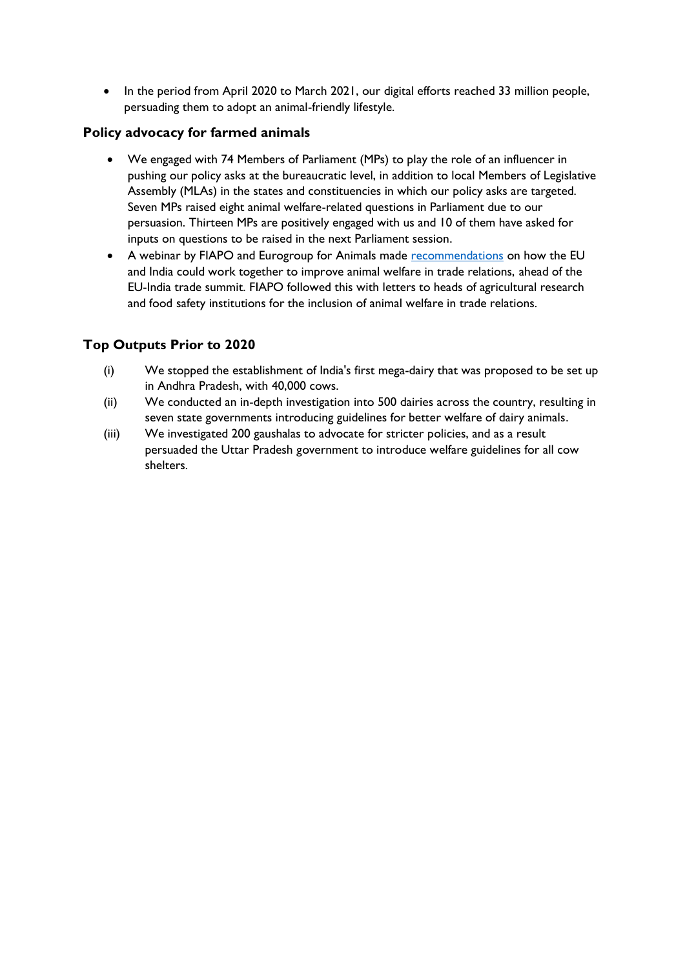• In the period from April 2020 to March 2021, our digital efforts reached 33 million people, persuading them to adopt an animal-friendly lifestyle.

## **Policy advocacy for farmed animals**

- We engaged with 74 Members of Parliament (MPs) to play the role of an influencer in pushing our policy asks at the bureaucratic level, in addition to local Members of Legislative Assembly (MLAs) in the states and constituencies in which our policy asks are targeted. Seven MPs raised eight animal welfare-related questions in Parliament due to our persuasion. Thirteen MPs are positively engaged with us and 10 of them have asked for inputs on questions to be raised in the next Parliament session.
- A webinar by FIAPO and Eurogroup for Animals made [recommendations](https://www.eurogroupforanimals.org/news/new-report-presents-key-recommendations-eu-india-animal-welfare-cooperation-trade-negotiations) on how the EU and India could work together to improve animal welfare in trade relations, ahead of the EU-India trade summit. FIAPO followed this with letters to heads of agricultural research and food safety institutions for the inclusion of animal welfare in trade relations.

# **Top Outputs Prior to 2020**

- (i) We stopped the establishment of India's first mega-dairy that was proposed to be set up in Andhra Pradesh, with 40,000 cows.
- (ii) We conducted an in-depth investigation into 500 dairies across the country, resulting in seven state governments introducing guidelines for better welfare of dairy animals.
- (iii) We investigated 200 gaushalas to advocate for stricter policies, and as a result persuaded the Uttar Pradesh government to introduce welfare guidelines for all cow shelters.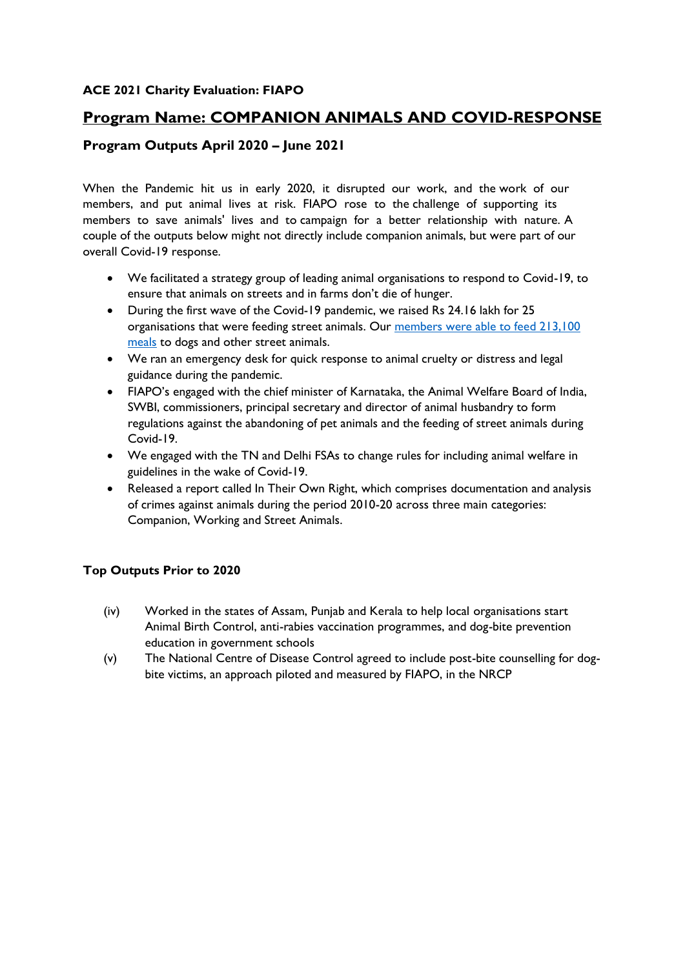# **Program Name: COMPANION ANIMALS AND COVID-RESPONSE**

# **Program Outputs April 2020 – June 2021**

When the Pandemic hit us in early 2020, it disrupted our work, and the work of our members, and put animal lives at risk. FIAPO rose to the challenge of supporting its members to save animals' lives and to campaign for a better relationship with nature. A couple of the outputs below might not directly include companion animals, but were part of our overall Covid-19 response.

- We facilitated a strategy group of leading animal organisations to respond to Covid-19, to ensure that animals on streets and in farms don't die of hunger.
- During the first wave of the Covid-19 pandemic, we raised Rs 24.16 lakh for 25 organisations that were feeding street animals. Our members were able to feed 213,100 [meals](https://www.thehindu.com/society/who-fed-the-dogs-out/article31184262.ece) to dogs and other street animals.
- We ran an emergency desk for quick response to animal cruelty or distress and legal guidance during the pandemic.
- FIAPO's engaged with the chief minister of Karnataka, the Animal Welfare Board of India, SWBI, commissioners, principal secretary and director of animal husbandry to form regulations against the abandoning of pet animals and the feeding of street animals during Covid-19.
- We engaged with the TN and Delhi FSAs to change rules for including animal welfare in guidelines in the wake of Covid-19.
- Released a report called In Their Own Right, which comprises documentation and analysis of crimes against animals during the period 2010-20 across three main categories: Companion, Working and Street Animals.

## **Top Outputs Prior to 2020**

- (iv) Worked in the states of Assam, Punjab and Kerala to help local organisations start Animal Birth Control, anti-rabies vaccination programmes, and dog-bite prevention education in government schools
- (v) The National Centre of Disease Control agreed to include post-bite counselling for dogbite victims, an approach piloted and measured by FIAPO, in the NRCP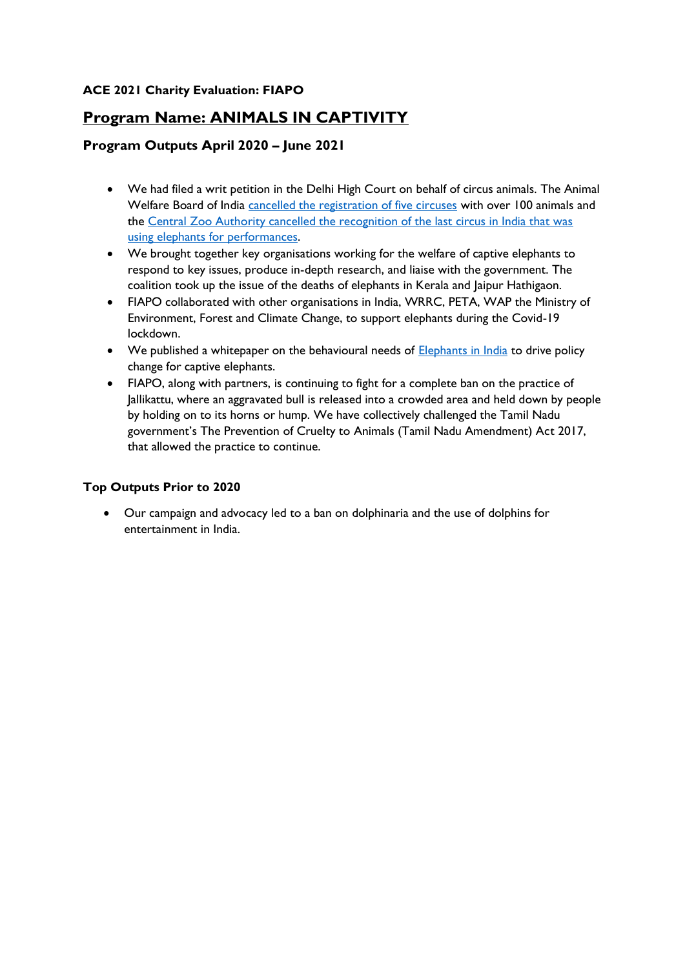# **Program Name: ANIMALS IN CAPTIVITY**

# **Program Outputs April 2020 – June 2021**

- We had filed a writ petition in the Delhi High Court on behalf of circus animals. The Animal Welfare Board of India [cancelled the registration of five circuses](https://www.indiatoday.in/india/story/animal-welfare-board-cancels-registration-of-5-circuses-in-india-1752745-2020-12-24) with over 100 animals and the [Central Zoo Authority cancelled the recognition of the last circus in India that was](https://timesofindia.indiatimes.com/city/mumbai/no-more-wild-animals-in-circuses-says-central-zoo-authority/articleshow/55858347.cms#:~:text=No%20more%20wild%20animals%20in%20circuses%2C%20says%20Central%20Zoo%20Authority,-Vijay%20Singh%20%2F%20TNN&text=The%20Central%20Zoo%20Authority%20directed,the%20elephants%20from%20derecognized%20circuses.&text=The%20CZA%20has%20passed%20these,cru)  [using elephants for](https://timesofindia.indiatimes.com/city/mumbai/no-more-wild-animals-in-circuses-says-central-zoo-authority/articleshow/55858347.cms#:~:text=No%20more%20wild%20animals%20in%20circuses%2C%20says%20Central%20Zoo%20Authority,-Vijay%20Singh%20%2F%20TNN&text=The%20Central%20Zoo%20Authority%20directed,the%20elephants%20from%20derecognized%20circuses.&text=The%20CZA%20has%20passed%20these,cru) performances.
- We brought together key organisations working for the welfare of captive elephants to respond to key issues, produce in-depth research, and liaise with the government. The coalition took up the issue of the deaths of elephants in Kerala and Jaipur Hathigaon.
- FIAPO collaborated with other organisations in India, WRRC, PETA, WAP the Ministry of Environment, Forest and Climate Change, to support elephants during the Covid-19 lockdown.
- We published a whitepaper on the behavioural needs of **Elephants in India** to drive policy change for captive elephants.
- FIAPO, along with partners, is continuing to fight for a complete ban on the practice of Jallikattu, where an aggravated bull is released into a crowded area and held down by people by holding on to its horns or hump. We have collectively challenged the Tamil Nadu government's The Prevention of Cruelty to Animals (Tamil Nadu Amendment) Act 2017, that allowed the practice to continue.

## **Top Outputs Prior to 2020**

• Our campaign and advocacy led to a ban on dolphinaria and the use of dolphins for entertainment in India.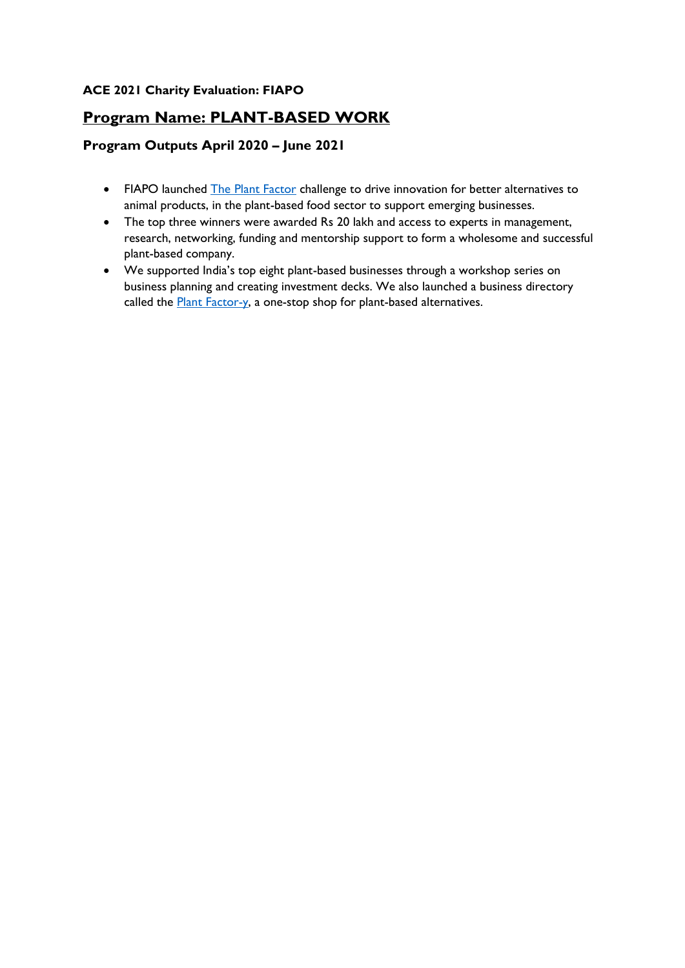# **Program Name: PLANT-BASED WORK**

# **Program Outputs April 2020 – June 2021**

- FIAPO launched [The Plant Factor](https://theplantfactor.in/) challenge to drive innovation for better alternatives to animal products, in the plant-based food sector to support emerging businesses.
- The top three winners were awarded Rs 20 lakh and access to experts in management, research, networking, funding and mentorship support to form a wholesome and successful plant-based company.
- We supported India's top eight plant-based businesses through a workshop series on business planning and creating investment decks. We also launched a business directory called the **Plant Factor-y**, a one-stop shop for plant-based alternatives.